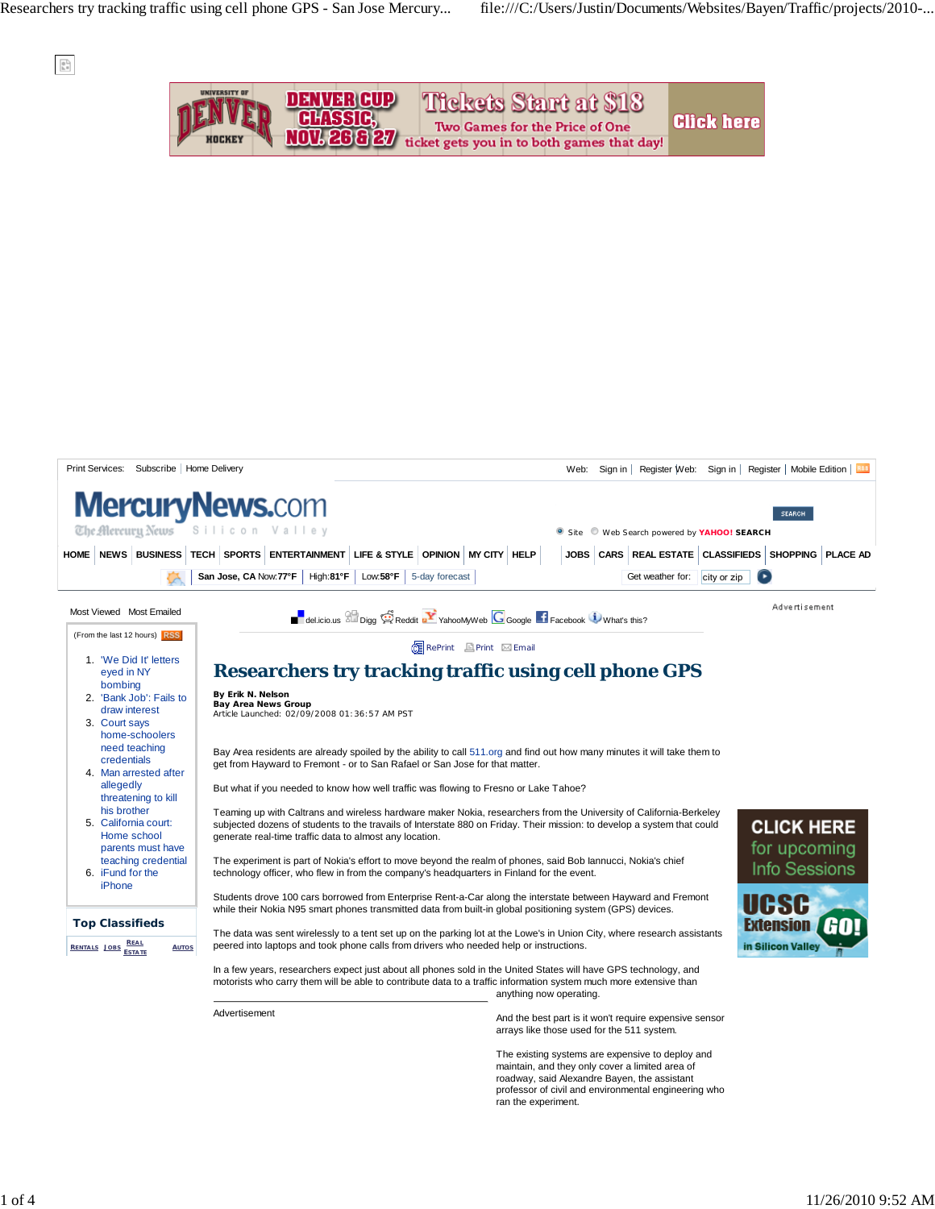

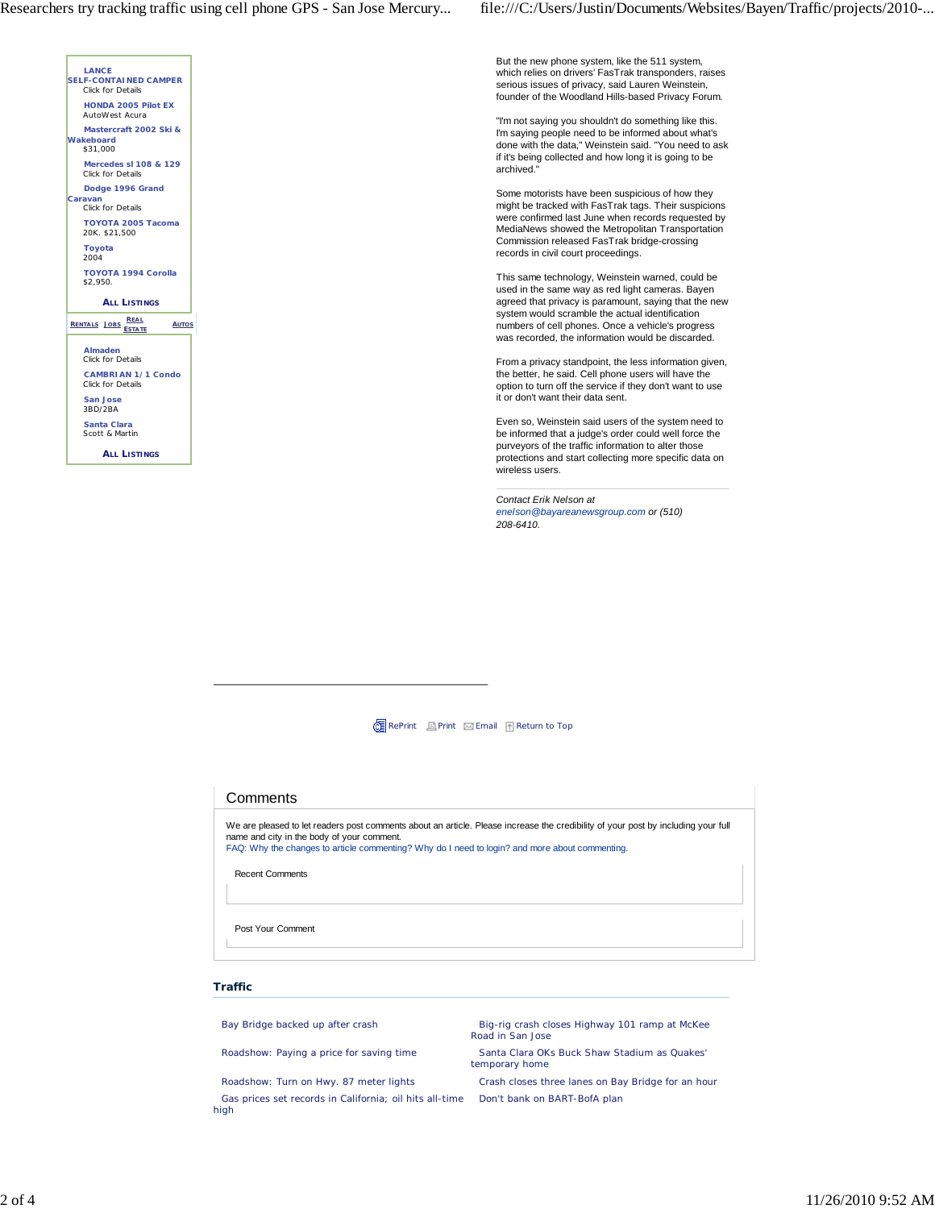



But the new phone system, like the 511 system, which relies on drivers' FasTrak transponders, raises serious issues of privacy, said Lauren Weinstein, founder of the Woodland Hills-based Privacy Forum.

"I'm not saying you shouldn't do something like this. I'm saying people need to be informed about what's done with the data," Weinstein said. "You need to ask if it's being collected and how long it is going to be archived."

Some motorists have been suspicious of how they might be tracked with FasTrak tags. Their suspicions were confirmed last June when records requested by MediaNews showed the Metropolitan Transportation Commission released FasTrak bridge-crossing records in civil court proceedings.

This same technology, Weinstein warned, could be used in the same way as red light cameras. Bayen agreed that privacy is paramount, saying that the new system would scramble the actual identification numbers of cell phones. Once a vehicle's progress was recorded, the information would be discarded.

From a privacy standpoint, the less information given, the better, he said. Cell phone users will have the option to turn off the service if they don't want to use it or don't want their data sent.

Even so, Weinstein said users of the system need to be informed that a judge's order could well force the purveyors of the traffic information to alter those protections and start collecting more specific data on wireless users.

*Contact Erik Nelson at enelson@bayareanewsgroup.com or (510) 208-6410.*

**CE** RePrint Print Email f Return to Top

## **Comments**

We are pleased to let readers post comments about an article. Please increase the credibility of your post by including your full name and city in the body of your comment. FAQ: Why the changes to article commenting? Why do I need to login? and more about commenting.

Recent Comments

Post Your Comment

## **Traffic**

Roadshow: Turn on Hwy. 87 meter lights Crash closes three lanes on Bay Bridge for an hour Gas prices set records in California; oil hits all-time Don't bank on BART-BofA plan high

Bay Bridge backed up after crash Big-rig crash Big-rig crash closes Highway 101 ramp at McKee Road in San Jose

Roadshow: Paying a price for saving time Santa Clara OKs Buck Shaw Stadium as Quakes' temporary home